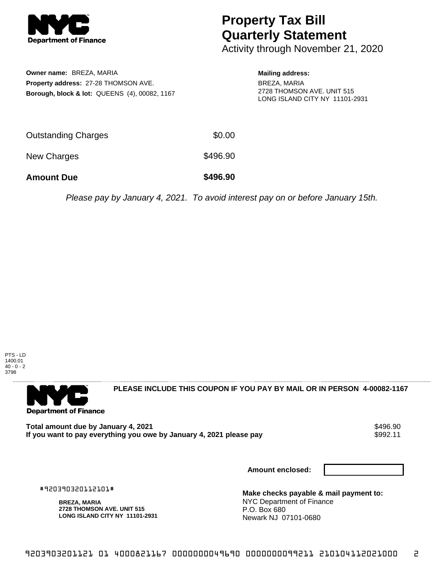

## **Property Tax Bill Quarterly Statement**

Activity through November 21, 2020

**Owner name:** BREZA, MARIA **Property address:** 27-28 THOMSON AVE. **Borough, block & lot:** QUEENS (4), 00082, 1167

## **Mailing address:**

BREZA, MARIA 2728 THOMSON AVE. UNIT 515 LONG ISLAND CITY NY 11101-2931

| <b>Amount Due</b>   | \$496.90 |
|---------------------|----------|
| New Charges         | \$496.90 |
| Outstanding Charges | \$0.00   |

Please pay by January 4, 2021. To avoid interest pay on or before January 15th.





**PLEASE INCLUDE THIS COUPON IF YOU PAY BY MAIL OR IN PERSON 4-00082-1167** 

**Total amount due by January 4, 2021<br>If you want to pay everything you owe by January 4, 2021 please pay \$992.11** If you want to pay everything you owe by January 4, 2021 please pay

**Amount enclosed:**

#920390320112101#

**BREZA, MARIA 2728 THOMSON AVE. UNIT 515 LONG ISLAND CITY NY 11101-2931**

**Make checks payable & mail payment to:** NYC Department of Finance P.O. Box 680 Newark NJ 07101-0680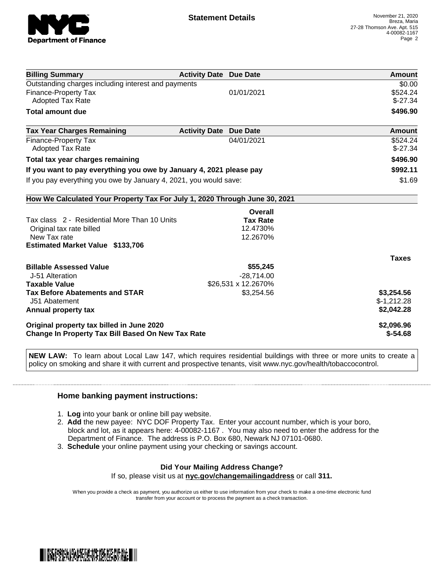

| <b>Billing Summary</b>                                                     | <b>Activity Date Due Date</b> |                     | Amount        |
|----------------------------------------------------------------------------|-------------------------------|---------------------|---------------|
| Outstanding charges including interest and payments                        |                               |                     | \$0.00        |
| <b>Finance-Property Tax</b>                                                |                               | 01/01/2021          | \$524.24      |
| <b>Adopted Tax Rate</b>                                                    |                               |                     | $$-27.34$     |
| <b>Total amount due</b>                                                    |                               |                     | \$496.90      |
| <b>Tax Year Charges Remaining</b>                                          | <b>Activity Date</b>          | <b>Due Date</b>     | <b>Amount</b> |
| <b>Finance-Property Tax</b>                                                |                               | 04/01/2021          | \$524.24      |
| <b>Adopted Tax Rate</b>                                                    |                               |                     | $$-27.34$     |
| Total tax year charges remaining                                           |                               |                     | \$496.90      |
| If you want to pay everything you owe by January 4, 2021 please pay        |                               |                     | \$992.11      |
| If you pay everything you owe by January 4, 2021, you would save:          |                               |                     | \$1.69        |
| How We Calculated Your Property Tax For July 1, 2020 Through June 30, 2021 |                               |                     |               |
|                                                                            |                               | <b>Overall</b>      |               |
| Tax class 2 - Residential More Than 10 Units                               |                               | <b>Tax Rate</b>     |               |
| Original tax rate billed                                                   |                               | 12.4730%            |               |
| New Tax rate                                                               |                               | 12.2670%            |               |
| <b>Estimated Market Value \$133,706</b>                                    |                               |                     |               |
|                                                                            |                               |                     | <b>Taxes</b>  |
| <b>Billable Assessed Value</b>                                             |                               | \$55,245            |               |
| J-51 Alteration                                                            |                               | $-28,714.00$        |               |
| <b>Taxable Value</b>                                                       |                               | \$26,531 x 12.2670% |               |
| <b>Tax Before Abatements and STAR</b>                                      |                               | \$3,254.56          | \$3,254.56    |
| J51 Abatement                                                              |                               |                     | $$-1,212.28$  |
| Annual property tax                                                        |                               |                     | \$2,042.28    |
| Original property tax billed in June 2020                                  |                               |                     | \$2,096.96    |
| <b>Change In Property Tax Bill Based On New Tax Rate</b>                   |                               |                     | $$-54.68$     |

**NEW LAW:** To learn about Local Law 147, which requires residential buildings with three or more units to create a policy on smoking and share it with current and prospective tenants, visit www.nyc.gov/health/tobaccocontrol.

## **Home banking payment instructions:**

- 1. **Log** into your bank or online bill pay website.
- 2. **Add** the new payee: NYC DOF Property Tax. Enter your account number, which is your boro, block and lot, as it appears here: 4-00082-1167 . You may also need to enter the address for the Department of Finance. The address is P.O. Box 680, Newark NJ 07101-0680.
- 3. **Schedule** your online payment using your checking or savings account.

## **Did Your Mailing Address Change?** If so, please visit us at **nyc.gov/changemailingaddress** or call **311.**

When you provide a check as payment, you authorize us either to use information from your check to make a one-time electronic fund transfer from your account or to process the payment as a check transaction.